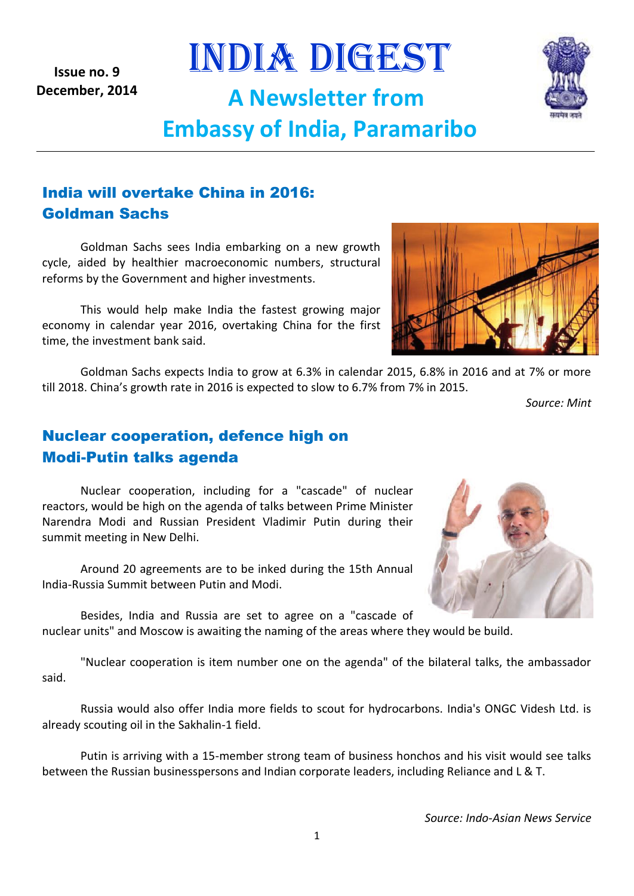*Source: Indo-Asian News Service*

**Issue no. 9 December, 2014**

India will overtake China in 2016: Goldman Sachs

Goldman Sachs sees India embarking on a new growth cycle, aided by healthier macroeconomic numbers, structural reforms by the Government and higher investments.

This would help make India the fastest growing major economy in calendar year 2016, overtaking China for the first time, the investment bank said.

Goldman Sachs expects India to grow at 6.3% in calendar 2015, 6.8% in 2016 and at 7% or more till 2018. China's growth rate in 2016 is expected to slow to 6.7% from 7% in 2015.

INDIA DIGEST

**A Newsletter from** 

**Embassy of India, Paramaribo**

*Source: Mint*

# Nuclear cooperation, defence high on Modi-Putin talks agenda

Nuclear cooperation, including for a "cascade" of nuclear reactors, would be high on the agenda of talks between Prime Minister Narendra Modi and Russian President Vladimir Putin during their summit meeting in New Delhi.

Around 20 agreements are to be inked during the 15th Annual India-Russia Summit between Putin and Modi.

Besides, India and Russia are set to agree on a "cascade of nuclear units" and Moscow is awaiting the naming of the areas where they would be build.

"Nuclear cooperation is item number one on the agenda" of the bilateral talks, the ambassador said.

Russia would also offer India more fields to scout for hydrocarbons. India's ONGC Videsh Ltd. is already scouting oil in the Sakhalin-1 field.

Putin is arriving with a 15-member strong team of business honchos and his visit would see talks between the Russian businesspersons and Indian corporate leaders, including Reliance and L & T.





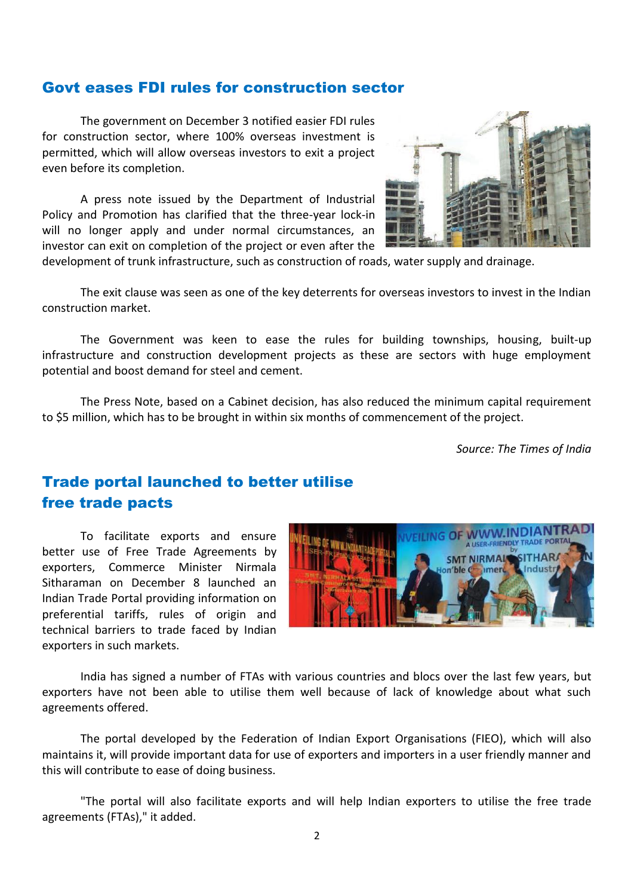#### Govt eases FDI rules for construction sector

The government on December 3 notified easier FDI rules for construction sector, where 100% overseas investment is permitted, which will allow overseas investors to exit a project even before its completion.

A press note issued by the Department of Industrial Policy and Promotion has clarified that the three-year lock-in will no longer apply and under normal circumstances, an investor can exit on completion of the project or even after the



development of trunk infrastructure, such as construction of roads, water supply and drainage.

The exit clause was seen as one of the key deterrents for overseas investors to invest in the Indian construction market.

The Government was keen to ease the rules for building townships, housing, built-up infrastructure and construction development projects as these are sectors with huge employment potential and boost demand for steel and cement.

The Press Note, based on a Cabinet decision, has also reduced the minimum capital requirement to \$5 million, which has to be brought in within six months of commencement of the project.

*Source: The Times of India*

### Trade portal launched to better utilise free trade pacts

To facilitate exports and ensure better use of Free Trade Agreements by exporters, Commerce Minister Nirmala Sitharaman on December 8 launched an Indian Trade Portal providing information on preferential tariffs, rules of origin and technical barriers to trade faced by Indian exporters in such markets.



India has signed a number of FTAs with various countries and blocs over the last few years, but exporters have not been able to utilise them well because of lack of knowledge about what such agreements offered.

The portal developed by the Federation of Indian Export Organisations (FIEO), which will also maintains it, will provide important data for use of exporters and importers in a user friendly manner and this will contribute to ease of doing business.

"The portal will also facilitate exports and will help Indian exporters to utilise the free trade agreements (FTAs)," it added.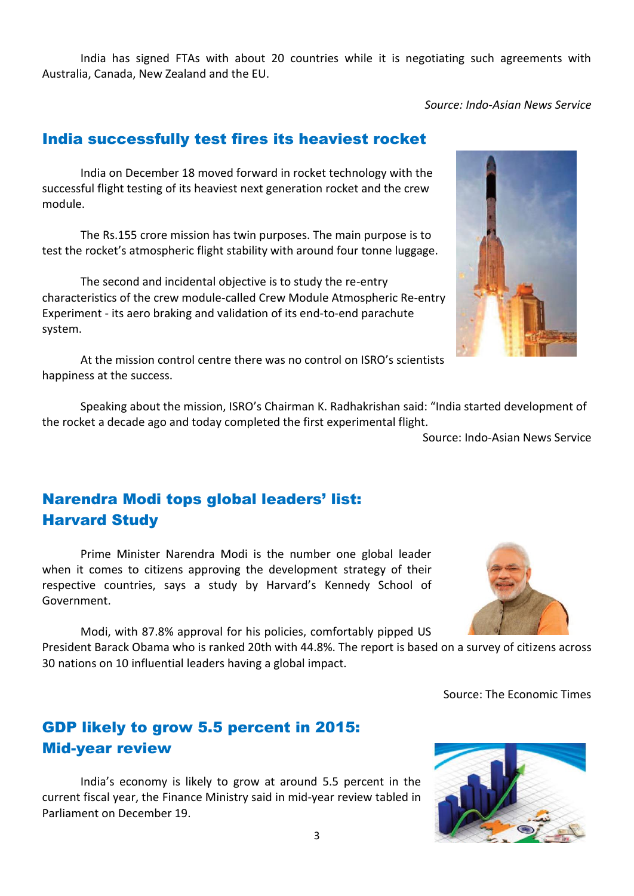India has signed FTAs with about 20 countries while it is negotiating such agreements with Australia, Canada, New Zealand and the EU.

*Source: Indo-Asian News Service*

### India successfully test fires its heaviest rocket

India on December 18 moved forward in rocket technology with the successful flight testing of its heaviest next generation rocket and the crew module.

The Rs.155 crore mission has twin purposes. The main purpose is to test the rocket's atmospheric flight stability with around four tonne luggage.

The second and incidental objective is to study the re-entry characteristics of the crew module-called Crew Module Atmospheric Re-entry Experiment - its aero braking and validation of its end-to-end parachute system.

At the mission control centre there was no control on ISRO's scientists happiness at the success.

Speaking about the mission, ISRO's Chairman K. Radhakrishan said: "India started development of the rocket a decade ago and today completed the first experimental flight.

Source: Indo-Asian News Service

# Narendra Modi tops global leaders' list: Harvard Study

Prime Minister Narendra Modi is the number one global leader when it comes to citizens approving the development strategy of their respective countries, says a study by Harvard's Kennedy School of Government.

Modi, with 87.8% approval for his policies, comfortably pipped US President Barack Obama who is ranked 20th with 44.8%. The report is based on a survey of citizens across 30 nations on 10 influential leaders having a global impact.

Source: The Economic Times

# GDP likely to grow 5.5 percent in 2015: Mid-year review

India's economy is likely to grow at around 5.5 percent in the current fiscal year, the Finance Ministry said in mid-year review tabled in Parliament on December 19.